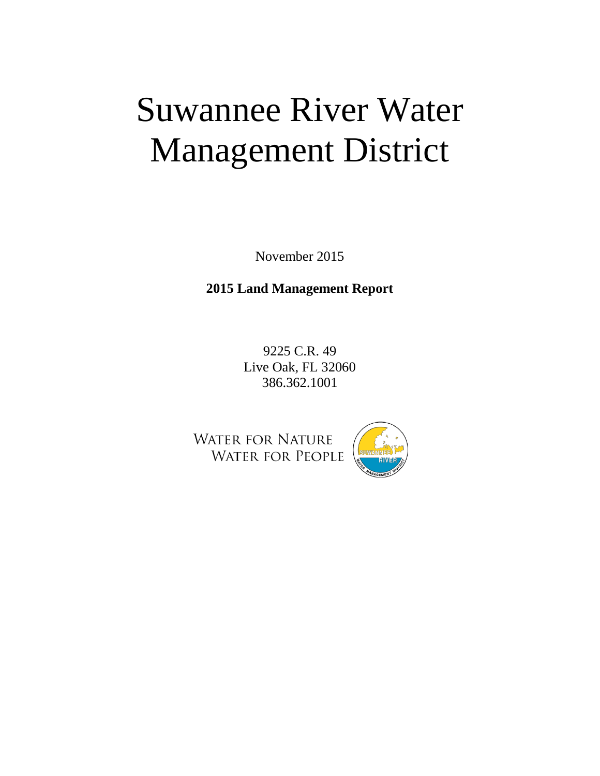# Suwannee River Water Management District

November 2015

**2015 Land Management Report** 

9225 C.R. 49 Live Oak, FL 32060 386.362.1001

**WATER FOR NATURE WATER FOR PEOPLE** 

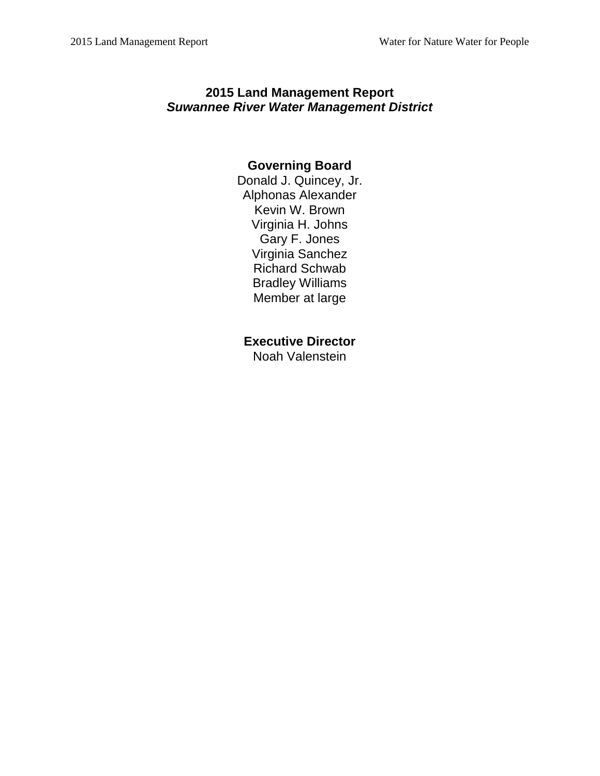## **2015 Land Management Report** *Suwannee River Water Management District*

## **Governing Board**

Donald J. Quincey, Jr. Alphonas Alexander Kevin W. Brown Virginia H. Johns Gary F. Jones Virginia Sanchez Richard Schwab Bradley Williams Member at large

## **Executive Director**

Noah Valenstein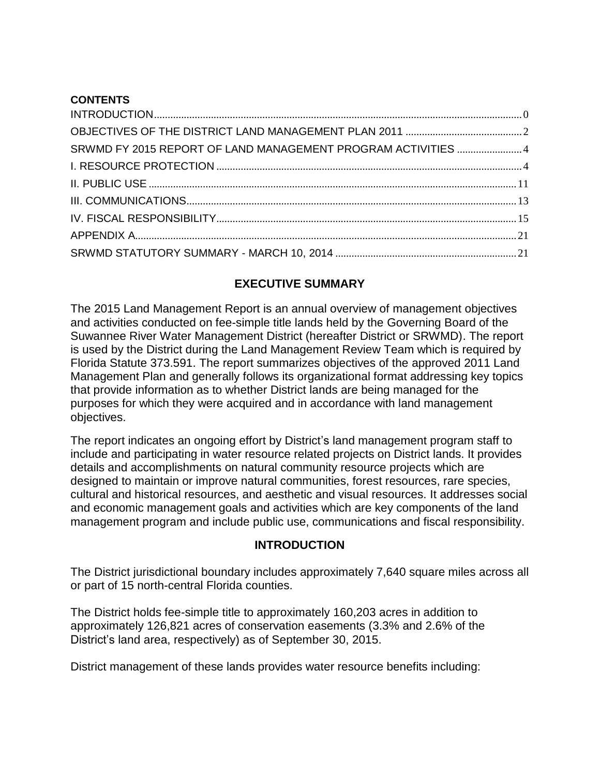#### **CONTENTS**

| SRWMD FY 2015 REPORT OF LAND MANAGEMENT PROGRAM ACTIVITIES  4 |  |
|---------------------------------------------------------------|--|
|                                                               |  |
|                                                               |  |
|                                                               |  |
|                                                               |  |
|                                                               |  |
|                                                               |  |

## **EXECUTIVE SUMMARY**

The 2015 Land Management Report is an annual overview of management objectives and activities conducted on fee-simple title lands held by the Governing Board of the Suwannee River Water Management District (hereafter District or SRWMD). The report is used by the District during the Land Management Review Team which is required by Florida Statute 373.591. The report summarizes objectives of the approved 2011 Land Management Plan and generally follows its organizational format addressing key topics that provide information as to whether District lands are being managed for the purposes for which they were acquired and in accordance with land management objectives.

The report indicates an ongoing effort by District's land management program staff to include and participating in water resource related projects on District lands. It provides details and accomplishments on natural community resource projects which are designed to maintain or improve natural communities, forest resources, rare species, cultural and historical resources, and aesthetic and visual resources. It addresses social and economic management goals and activities which are key components of the land management program and include public use, communications and fiscal responsibility.

#### **INTRODUCTION**

<span id="page-2-0"></span>The District jurisdictional boundary includes approximately 7,640 square miles across all or part of 15 north-central Florida counties.

The District holds fee-simple title to approximately 160,203 acres in addition to approximately 126,821 acres of conservation easements (3.3% and 2.6% of the District's land area, respectively) as of September 30, 2015.

District management of these lands provides water resource benefits including: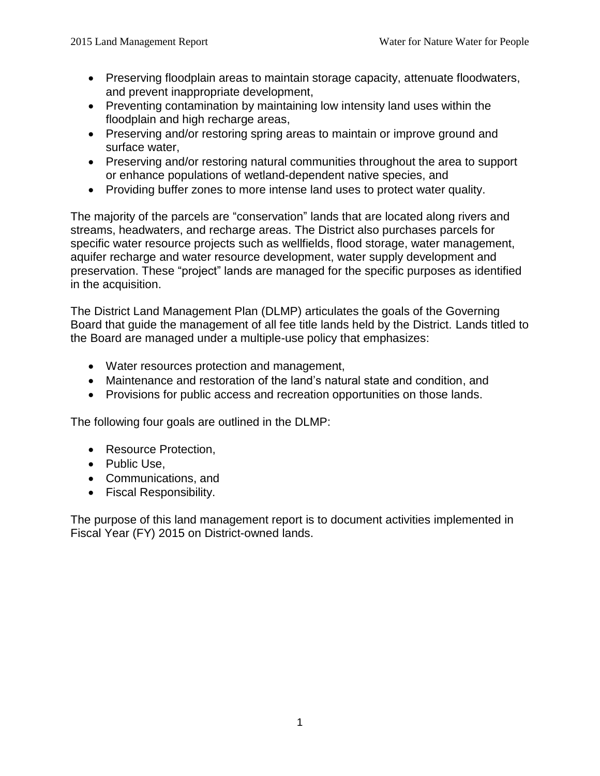- Preserving floodplain areas to maintain storage capacity, attenuate floodwaters, and prevent inappropriate development,
- Preventing contamination by maintaining low intensity land uses within the floodplain and high recharge areas,
- Preserving and/or restoring spring areas to maintain or improve ground and surface water,
- Preserving and/or restoring natural communities throughout the area to support or enhance populations of wetland-dependent native species, and
- Providing buffer zones to more intense land uses to protect water quality.

The majority of the parcels are "conservation" lands that are located along rivers and streams, headwaters, and recharge areas. The District also purchases parcels for specific water resource projects such as wellfields, flood storage, water management, aquifer recharge and water resource development, water supply development and preservation. These "project" lands are managed for the specific purposes as identified in the acquisition.

The District Land Management Plan (DLMP) articulates the goals of the Governing Board that guide the management of all fee title lands held by the District. Lands titled to the Board are managed under a multiple-use policy that emphasizes:

- Water resources protection and management,
- Maintenance and restoration of the land's natural state and condition, and
- Provisions for public access and recreation opportunities on those lands.

The following four goals are outlined in the DLMP:

- Resource Protection,
- Public Use,
- Communications, and
- Fiscal Responsibility.

The purpose of this land management report is to document activities implemented in Fiscal Year (FY) 2015 on District-owned lands.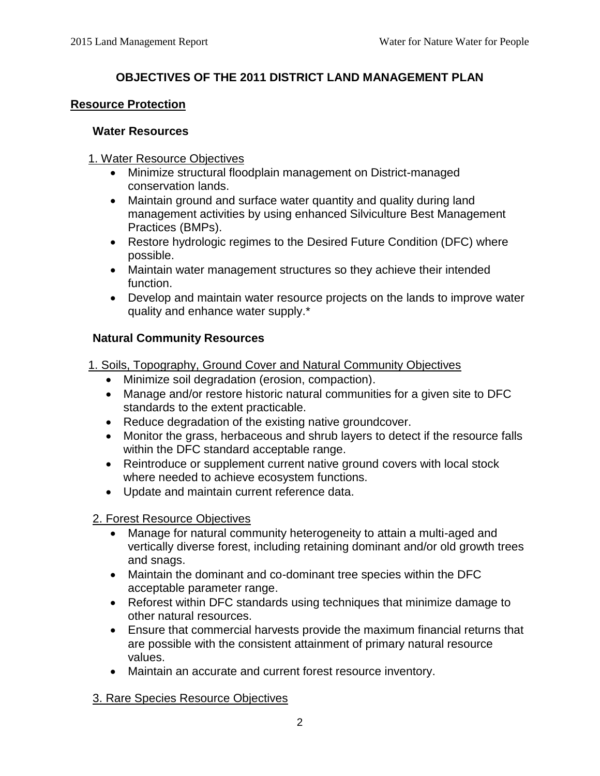## **OBJECTIVES OF THE 2011 DISTRICT LAND MANAGEMENT PLAN**

#### <span id="page-4-0"></span>**Resource Protection**

#### **Water Resources**

#### 1. Water Resource Objectives

- Minimize structural floodplain management on District-managed conservation lands.
- Maintain ground and surface water quantity and quality during land management activities by using enhanced Silviculture Best Management Practices (BMPs).
- Restore hydrologic regimes to the Desired Future Condition (DFC) where possible.
- Maintain water management structures so they achieve their intended function.
- Develop and maintain water resource projects on the lands to improve water quality and enhance water supply.\*

## **Natural Community Resources**

1. Soils, Topography, Ground Cover and Natural Community Objectives

- Minimize soil degradation (erosion, compaction).
- Manage and/or restore historic natural communities for a given site to DFC standards to the extent practicable.
- Reduce degradation of the existing native groundcover.
- Monitor the grass, herbaceous and shrub layers to detect if the resource falls within the DFC standard acceptable range.
- Reintroduce or supplement current native ground covers with local stock where needed to achieve ecosystem functions.
- Update and maintain current reference data.

## 2. Forest Resource Objectives

- Manage for natural community heterogeneity to attain a multi-aged and vertically diverse forest, including retaining dominant and/or old growth trees and snags.
- Maintain the dominant and co-dominant tree species within the DFC acceptable parameter range.
- Reforest within DFC standards using techniques that minimize damage to other natural resources.
- Ensure that commercial harvests provide the maximum financial returns that are possible with the consistent attainment of primary natural resource values.
- Maintain an accurate and current forest resource inventory.

## 3. Rare Species Resource Objectives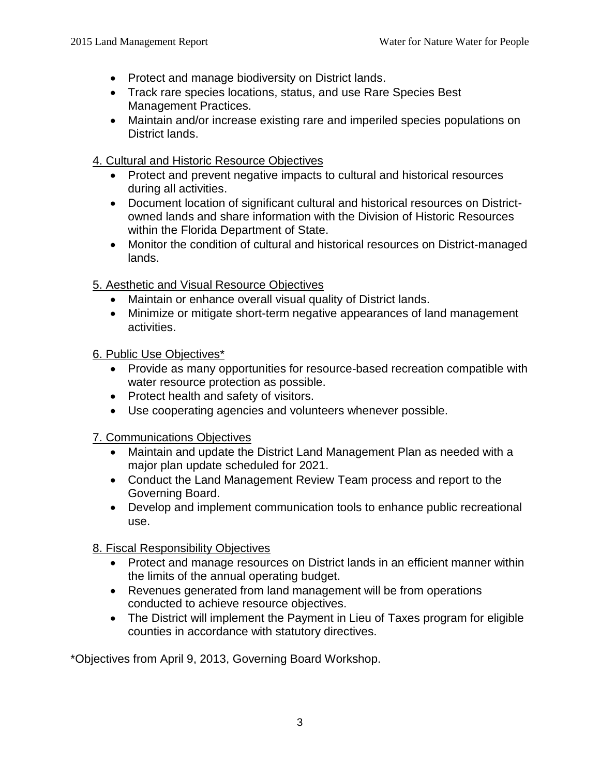- Protect and manage biodiversity on District lands.
- Track rare species locations, status, and use Rare Species Best Management Practices.
- Maintain and/or increase existing rare and imperiled species populations on District lands.

## 4. Cultural and Historic Resource Objectives

- Protect and prevent negative impacts to cultural and historical resources during all activities.
- Document location of significant cultural and historical resources on Districtowned lands and share information with the Division of Historic Resources within the Florida Department of State.
- Monitor the condition of cultural and historical resources on District-managed lands.

## 5. Aesthetic and Visual Resource Objectives

- Maintain or enhance overall visual quality of District lands.
- Minimize or mitigate short-term negative appearances of land management activities.

## 6. Public Use Objectives\*

- Provide as many opportunities for resource-based recreation compatible with water resource protection as possible.
- Protect health and safety of visitors.
- Use cooperating agencies and volunteers whenever possible.

## 7. Communications Objectives

- Maintain and update the District Land Management Plan as needed with a major plan update scheduled for 2021.
- Conduct the Land Management Review Team process and report to the Governing Board.
- Develop and implement communication tools to enhance public recreational use.

## 8. Fiscal Responsibility Objectives

- Protect and manage resources on District lands in an efficient manner within the limits of the annual operating budget.
- Revenues generated from land management will be from operations conducted to achieve resource objectives.
- The District will implement the Payment in Lieu of Taxes program for eligible counties in accordance with statutory directives.

\*Objectives from April 9, 2013, Governing Board Workshop.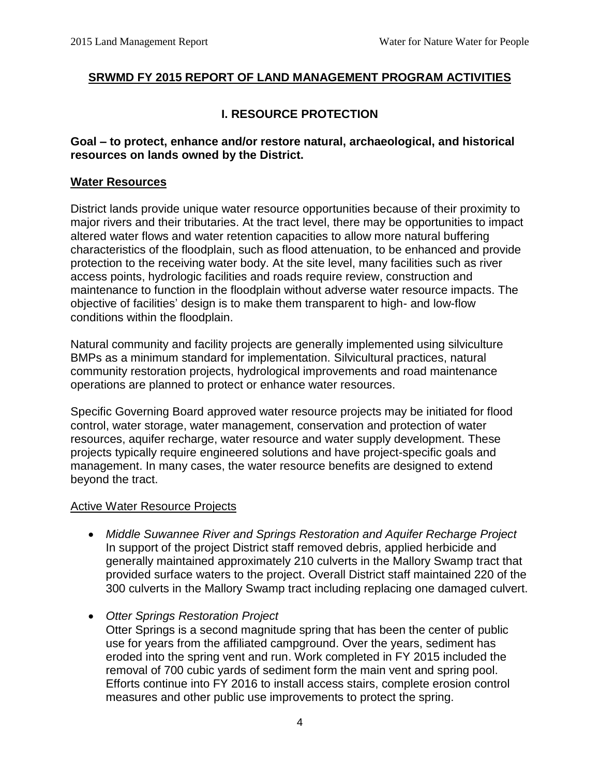## <span id="page-6-1"></span><span id="page-6-0"></span>**SRWMD FY 2015 REPORT OF LAND MANAGEMENT PROGRAM ACTIVITIES**

## **I. RESOURCE PROTECTION**

#### **Goal – to protect, enhance and/or restore natural, archaeological, and historical resources on lands owned by the District.**

### **Water Resources**

District lands provide unique water resource opportunities because of their proximity to major rivers and their tributaries. At the tract level, there may be opportunities to impact altered water flows and water retention capacities to allow more natural buffering characteristics of the floodplain, such as flood attenuation, to be enhanced and provide protection to the receiving water body. At the site level, many facilities such as river access points, hydrologic facilities and roads require review, construction and maintenance to function in the floodplain without adverse water resource impacts. The objective of facilities' design is to make them transparent to high- and low-flow conditions within the floodplain.

Natural community and facility projects are generally implemented using silviculture BMPs as a minimum standard for implementation. Silvicultural practices, natural community restoration projects, hydrological improvements and road maintenance operations are planned to protect or enhance water resources.

Specific Governing Board approved water resource projects may be initiated for flood control, water storage, water management, conservation and protection of water resources, aquifer recharge, water resource and water supply development. These projects typically require engineered solutions and have project-specific goals and management. In many cases, the water resource benefits are designed to extend beyond the tract.

#### Active Water Resource Projects

- *Middle Suwannee River and Springs Restoration and Aquifer Recharge Project* In support of the project District staff removed debris, applied herbicide and generally maintained approximately 210 culverts in the Mallory Swamp tract that provided surface waters to the project. Overall District staff maintained 220 of the 300 culverts in the Mallory Swamp tract including replacing one damaged culvert.
- *Otter Springs Restoration Project*
	- Otter Springs is a second magnitude spring that has been the center of public use for years from the affiliated campground. Over the years, sediment has eroded into the spring vent and run. Work completed in FY 2015 included the removal of 700 cubic yards of sediment form the main vent and spring pool. Efforts continue into FY 2016 to install access stairs, complete erosion control measures and other public use improvements to protect the spring.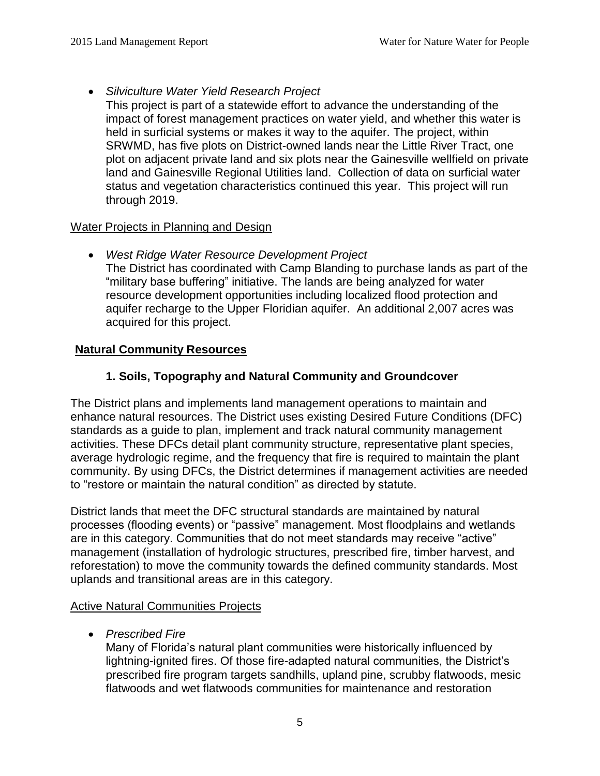### *Silviculture Water Yield Research Project*

This project is part of a statewide effort to advance the understanding of the impact of forest management practices on water yield, and whether this water is held in surficial systems or makes it way to the aquifer. The project, within SRWMD, has five plots on District-owned lands near the Little River Tract, one plot on adjacent private land and six plots near the Gainesville wellfield on private land and Gainesville Regional Utilities land. Collection of data on surficial water status and vegetation characteristics continued this year. This project will run through 2019.

#### Water Projects in Planning and Design

 *West Ridge Water Resource Development Project* The District has coordinated with Camp Blanding to purchase lands as part of the "military base buffering" initiative. The lands are being analyzed for water resource development opportunities including localized flood protection and aquifer recharge to the Upper Floridian aquifer. An additional 2,007 acres was acquired for this project.

## **Natural Community Resources**

## **1. Soils, Topography and Natural Community and Groundcover**

The District plans and implements land management operations to maintain and enhance natural resources. The District uses existing Desired Future Conditions (DFC) standards as a guide to plan, implement and track natural community management activities. These DFCs detail plant community structure, representative plant species, average hydrologic regime, and the frequency that fire is required to maintain the plant community. By using DFCs, the District determines if management activities are needed to "restore or maintain the natural condition" as directed by statute.

District lands that meet the DFC structural standards are maintained by natural processes (flooding events) or "passive" management. Most floodplains and wetlands are in this category. Communities that do not meet standards may receive "active" management (installation of hydrologic structures, prescribed fire, timber harvest, and reforestation) to move the community towards the defined community standards. Most uplands and transitional areas are in this category.

## Active Natural Communities Projects

*Prescribed Fire*

Many of Florida's natural plant communities were historically influenced by lightning-ignited fires. Of those fire-adapted natural communities, the District's prescribed fire program targets sandhills, upland pine, scrubby flatwoods, mesic flatwoods and wet flatwoods communities for maintenance and restoration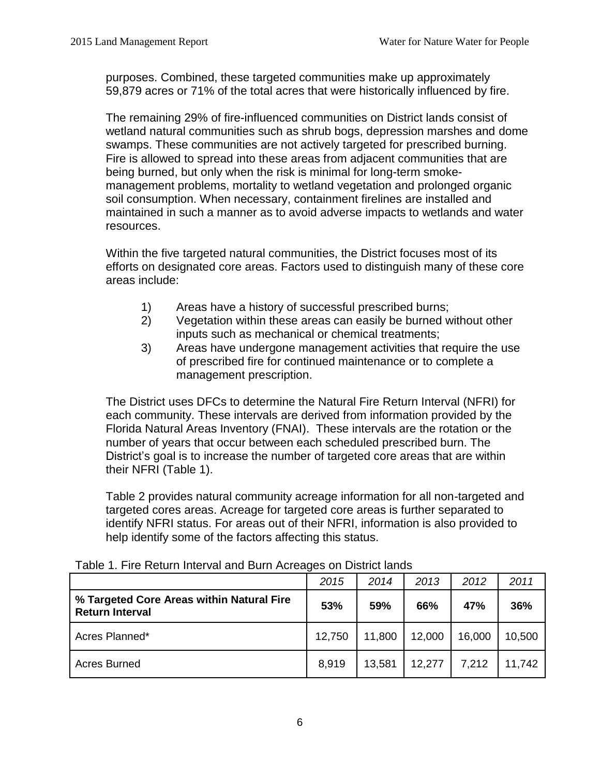purposes. Combined, these targeted communities make up approximately 59,879 acres or 71% of the total acres that were historically influenced by fire.

The remaining 29% of fire-influenced communities on District lands consist of wetland natural communities such as shrub bogs, depression marshes and dome swamps. These communities are not actively targeted for prescribed burning. Fire is allowed to spread into these areas from adjacent communities that are being burned, but only when the risk is minimal for long-term smokemanagement problems, mortality to wetland vegetation and prolonged organic soil consumption. When necessary, containment firelines are installed and maintained in such a manner as to avoid adverse impacts to wetlands and water resources.

Within the five targeted natural communities, the District focuses most of its efforts on designated core areas. Factors used to distinguish many of these core areas include:

- 1) Areas have a history of successful prescribed burns;
- 2) Vegetation within these areas can easily be burned without other inputs such as mechanical or chemical treatments;
- 3) Areas have undergone management activities that require the use of prescribed fire for continued maintenance or to complete a management prescription.

The District uses DFCs to determine the Natural Fire Return Interval (NFRI) for each community. These intervals are derived from information provided by the Florida Natural Areas Inventory (FNAI). These intervals are the rotation or the number of years that occur between each scheduled prescribed burn. The District's goal is to increase the number of targeted core areas that are within their NFRI (Table 1).

Table 2 provides natural community acreage information for all non-targeted and targeted cores areas. Acreage for targeted core areas is further separated to identify NFRI status. For areas out of their NFRI, information is also provided to help identify some of the factors affecting this status.

|                                                                     | 2015   | 2014   | 2013   | 2012   | 2011   |
|---------------------------------------------------------------------|--------|--------|--------|--------|--------|
| % Targeted Core Areas within Natural Fire<br><b>Return Interval</b> | 53%    | 59%    | 66%    | 47%    | 36%    |
| Acres Planned*                                                      | 12,750 | 11,800 | 12,000 | 16,000 | 10,500 |
| <b>Acres Burned</b>                                                 | 8,919  | 13,581 | 12,277 | 7,212  | 11.742 |

#### Table 1. Fire Return Interval and Burn Acreages on District lands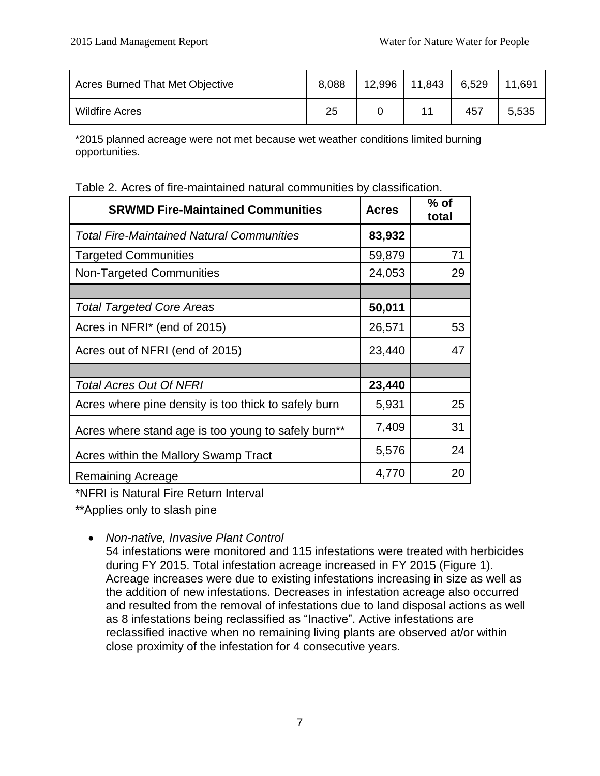| <b>Acres Burned That Met Objective</b> | 8,088 | 12,996 | 11,843 | 6,529 | '1,691 |
|----------------------------------------|-------|--------|--------|-------|--------|
| <b>Wildfire Acres</b>                  | 25    |        | 11     | 457   | 5,535  |

\*2015 planned acreage were not met because wet weather conditions limited burning opportunities.

| <b>SRWMD Fire-Maintained Communities</b>                        | <b>Acres</b> | $%$ of<br>total |
|-----------------------------------------------------------------|--------------|-----------------|
| <b>Total Fire-Maintained Natural Communities</b>                | 83,932       |                 |
| <b>Targeted Communities</b>                                     | 59,879       | 71              |
| Non-Targeted Communities                                        | 24,053       | 29              |
|                                                                 |              |                 |
| <b>Total Targeted Core Areas</b>                                | 50,011       |                 |
| Acres in NFRI* (end of 2015)                                    | 26,571       | 53              |
| Acres out of NFRI (end of 2015)                                 |              | 47              |
|                                                                 |              |                 |
| <b>Total Acres Out Of NFRI</b>                                  | 23,440       |                 |
| Acres where pine density is too thick to safely burn            | 5,931        | 25              |
| Acres where stand age is too young to safely burn <sup>**</sup> | 7,409        | 31              |
| Acres within the Mallory Swamp Tract                            | 5,576        | 24              |
| <b>Remaining Acreage</b>                                        | 4,770        | 20              |

Table 2. Acres of fire-maintained natural communities by classification.

\*NFRI is Natural Fire Return Interval

\*\*Applies only to slash pine

*Non-native, Invasive Plant Control*

54 infestations were monitored and 115 infestations were treated with herbicides during FY 2015. Total infestation acreage increased in FY 2015 (Figure 1). Acreage increases were due to existing infestations increasing in size as well as the addition of new infestations. Decreases in infestation acreage also occurred and resulted from the removal of infestations due to land disposal actions as well as 8 infestations being reclassified as "Inactive". Active infestations are reclassified inactive when no remaining living plants are observed at/or within close proximity of the infestation for 4 consecutive years.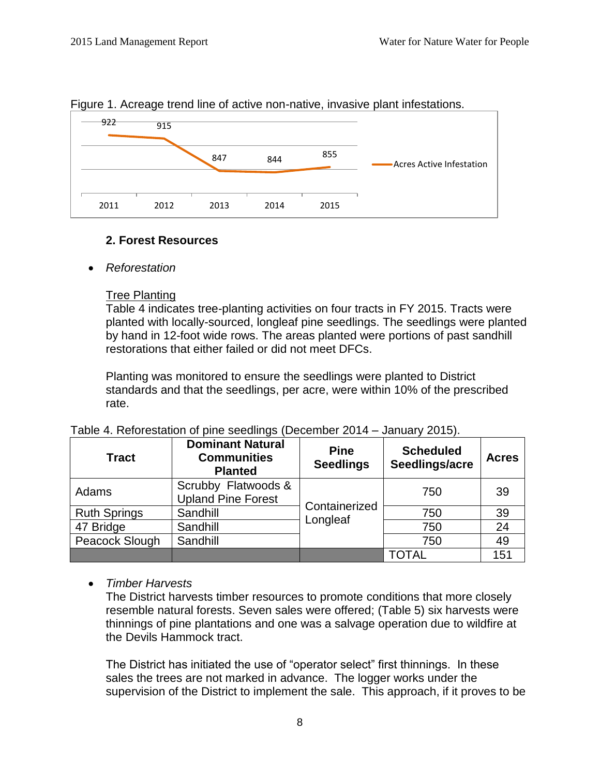

#### Figure 1. Acreage trend line of active non-native, invasive plant infestations.

## **2. Forest Resources**

*Reforestation*

#### **Tree Planting**

Table 4 indicates tree-planting activities on four tracts in FY 2015. Tracts were planted with locally-sourced, longleaf pine seedlings. The seedlings were planted by hand in 12-foot wide rows. The areas planted were portions of past sandhill restorations that either failed or did not meet DFCs.

Planting was monitored to ensure the seedlings were planted to District standards and that the seedlings, per acre, were within 10% of the prescribed rate.

| <b>Tract</b>        | <b>Dominant Natural</b><br><b>Communities</b><br><b>Planted</b> | <b>Pine</b><br><b>Seedlings</b> | <b>Scheduled</b><br>Seedlings/acre | <b>Acres</b> |
|---------------------|-----------------------------------------------------------------|---------------------------------|------------------------------------|--------------|
| Adams               | Scrubby Flatwoods &<br><b>Upland Pine Forest</b>                |                                 | 750                                | 39           |
| <b>Ruth Springs</b> | Sandhill                                                        | Containerized<br>Longleaf       | 750                                | 39           |
| 47 Bridge           | Sandhill                                                        |                                 | 750                                | 24           |
| Peacock Slough      | Sandhill                                                        |                                 | 750                                | 49           |
|                     |                                                                 |                                 | TOTAL                              | 151          |

#### Table 4. Reforestation of pine seedlings (December 2014 – January 2015).

*Timber Harvests*

The District harvests timber resources to promote conditions that more closely resemble natural forests. Seven sales were offered; (Table 5) six harvests were thinnings of pine plantations and one was a salvage operation due to wildfire at the Devils Hammock tract.

The District has initiated the use of "operator select" first thinnings. In these sales the trees are not marked in advance. The logger works under the supervision of the District to implement the sale. This approach, if it proves to be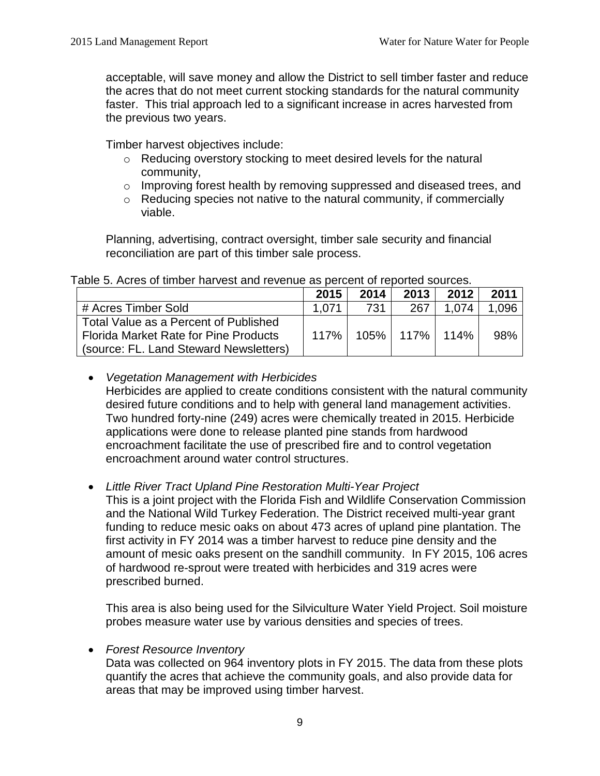acceptable, will save money and allow the District to sell timber faster and reduce the acres that do not meet current stocking standards for the natural community faster. This trial approach led to a significant increase in acres harvested from the previous two years.

Timber harvest objectives include:

- o Reducing overstory stocking to meet desired levels for the natural community,
- o Improving forest health by removing suppressed and diseased trees, and
- o Reducing species not native to the natural community, if commercially viable.

Planning, advertising, contract oversight, timber sale security and financial reconciliation are part of this timber sale process.

|                                                                                | 2015   | 2014 | 2013               | 2012  | 2011  |
|--------------------------------------------------------------------------------|--------|------|--------------------|-------|-------|
| # Acres Timber Sold                                                            | 1.071  | 731  | 267                | 1 074 | 1.096 |
| Total Value as a Percent of Published<br>Florida Market Rate for Pine Products | 117% L |      | 105%   117%   114% |       |       |
| (source: FL. Land Steward Newsletters)                                         |        |      |                    |       | 98%   |

#### Table 5. Acres of timber harvest and revenue as percent of reported sources.

*Vegetation Management with Herbicides*

Herbicides are applied to create conditions consistent with the natural community desired future conditions and to help with general land management activities. Two hundred forty-nine (249) acres were chemically treated in 2015. Herbicide applications were done to release planted pine stands from hardwood encroachment facilitate the use of prescribed fire and to control vegetation encroachment around water control structures.

*Little River Tract Upland Pine Restoration Multi-Year Project*

This is a joint project with the Florida Fish and Wildlife Conservation Commission and the National Wild Turkey Federation. The District received multi-year grant funding to reduce mesic oaks on about 473 acres of upland pine plantation. The first activity in FY 2014 was a timber harvest to reduce pine density and the amount of mesic oaks present on the sandhill community. In FY 2015, 106 acres of hardwood re-sprout were treated with herbicides and 319 acres were prescribed burned.

This area is also being used for the Silviculture Water Yield Project. Soil moisture probes measure water use by various densities and species of trees.

 *Forest Resource Inventory* Data was collected on 964 inventory plots in FY 2015. The data from these plots quantify the acres that achieve the community goals, and also provide data for areas that may be improved using timber harvest.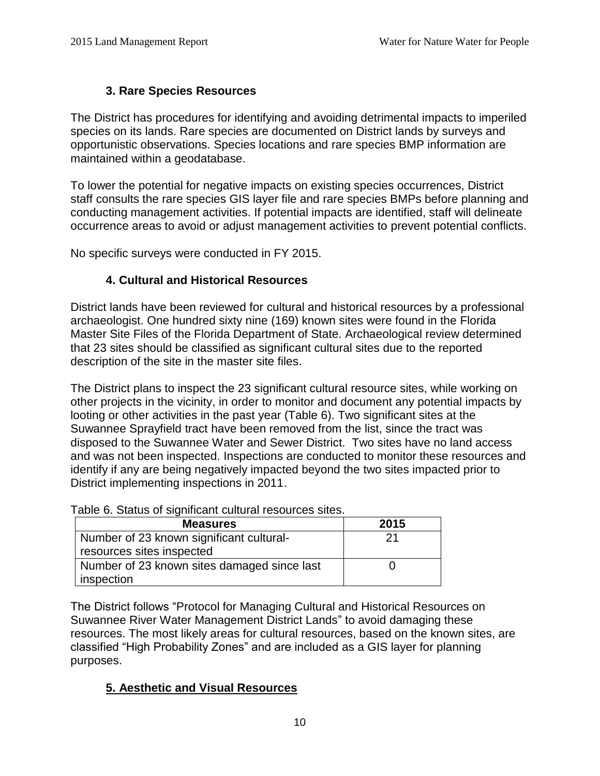## **3. Rare Species Resources**

The District has procedures for identifying and avoiding detrimental impacts to imperiled species on its lands. Rare species are documented on District lands by surveys and opportunistic observations. Species locations and rare species BMP information are maintained within a geodatabase.

To lower the potential for negative impacts on existing species occurrences, District staff consults the rare species GIS layer file and rare species BMPs before planning and conducting management activities. If potential impacts are identified, staff will delineate occurrence areas to avoid or adjust management activities to prevent potential conflicts.

No specific surveys were conducted in FY 2015.

## **4. Cultural and Historical Resources**

District lands have been reviewed for cultural and historical resources by a professional archaeologist. One hundred sixty nine (169) known sites were found in the Florida Master Site Files of the Florida Department of State. Archaeological review determined that 23 sites should be classified as significant cultural sites due to the reported description of the site in the master site files.

The District plans to inspect the 23 significant cultural resource sites, while working on other projects in the vicinity, in order to monitor and document any potential impacts by looting or other activities in the past year (Table 6). Two significant sites at the Suwannee Sprayfield tract have been removed from the list, since the tract was disposed to the Suwannee Water and Sewer District. Two sites have no land access and was not been inspected. Inspections are conducted to monitor these resources and identify if any are being negatively impacted beyond the two sites impacted prior to District implementing inspections in 2011.

| <b>Measures</b>                             | 2015 |
|---------------------------------------------|------|
| Number of 23 known significant cultural-    | 21   |
| resources sites inspected                   |      |
| Number of 23 known sites damaged since last |      |
| inspection                                  |      |

Table 6. Status of significant cultural resources sites.

The District follows "Protocol for Managing Cultural and Historical Resources on Suwannee River Water Management District Lands" to avoid damaging these resources. The most likely areas for cultural resources, based on the known sites, are classified "High Probability Zones" and are included as a GIS layer for planning purposes.

## **5. Aesthetic and Visual Resources**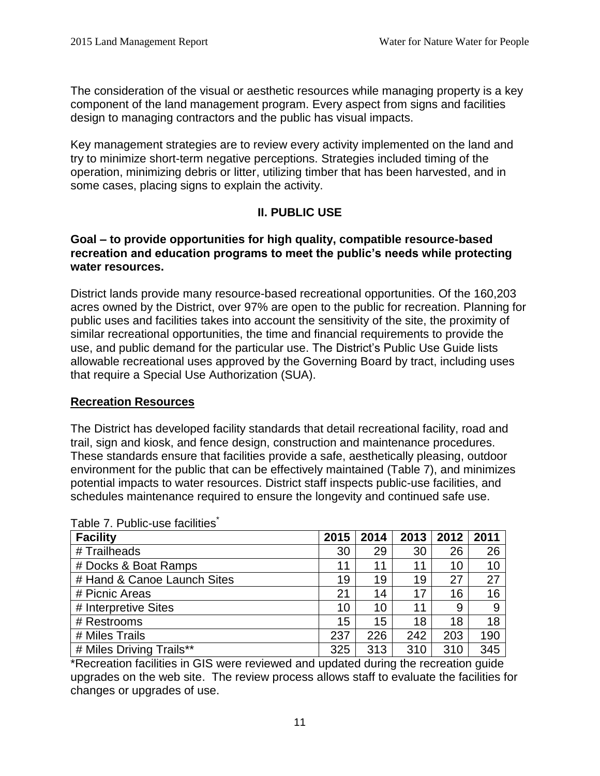The consideration of the visual or aesthetic resources while managing property is a key component of the land management program. Every aspect from signs and facilities design to managing contractors and the public has visual impacts.

Key management strategies are to review every activity implemented on the land and try to minimize short-term negative perceptions. Strategies included timing of the operation, minimizing debris or litter, utilizing timber that has been harvested, and in some cases, placing signs to explain the activity.

## **II. PUBLIC USE**

#### <span id="page-13-0"></span>**Goal – to provide opportunities for high quality, compatible resource-based recreation and education programs to meet the public's needs while protecting water resources.**

District lands provide many resource-based recreational opportunities. Of the 160,203 acres owned by the District, over 97% are open to the public for recreation. Planning for public uses and facilities takes into account the sensitivity of the site, the proximity of similar recreational opportunities, the time and financial requirements to provide the use, and public demand for the particular use. The District's Public Use Guide lists allowable recreational uses approved by the Governing Board by tract, including uses that require a Special Use Authorization (SUA).

## **Recreation Resources**

The District has developed facility standards that detail recreational facility, road and trail, sign and kiosk, and fence design, construction and maintenance procedures. These standards ensure that facilities provide a safe, aesthetically pleasing, outdoor environment for the public that can be effectively maintained (Table 7), and minimizes potential impacts to water resources. District staff inspects public-use facilities, and schedules maintenance required to ensure the longevity and continued safe use.

| <b>Facility</b>             | 2015 | 2014 |     | 2013   2012 | 2011 |
|-----------------------------|------|------|-----|-------------|------|
| # Trailheads                | 30   | 29   | 30  | 26          | 26   |
| # Docks & Boat Ramps        | 11   | 11   | 11  | 10          | 10   |
| # Hand & Canoe Launch Sites | 19   | 19   | 19  | 27          | 27   |
| # Picnic Areas              | 21   | 14   | 17  | 16          | 16   |
| # Interpretive Sites        | 10   | 10   | 11  | 9           | 9    |
| # Restrooms                 | 15   | 15   | 18  | 18          | 18   |
| # Miles Trails              | 237  | 226  | 242 | 203         | 190  |
| # Miles Driving Trails**    | 325  | 313  | 310 | 310         | 345  |

Table 7. Public-use facilities<sup>\*</sup>

\*Recreation facilities in GIS were reviewed and updated during the recreation guide upgrades on the web site. The review process allows staff to evaluate the facilities for changes or upgrades of use.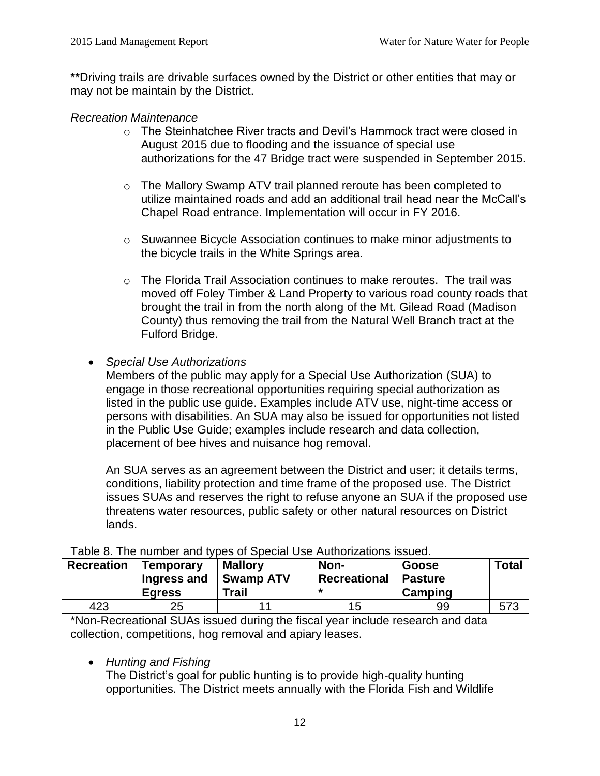\*\*Driving trails are drivable surfaces owned by the District or other entities that may or may not be maintain by the District.

#### *Recreation Maintenance*

- $\circ$  The Steinhatchee River tracts and Devil's Hammock tract were closed in August 2015 due to flooding and the issuance of special use authorizations for the 47 Bridge tract were suspended in September 2015.
- o The Mallory Swamp ATV trail planned reroute has been completed to utilize maintained roads and add an additional trail head near the McCall's Chapel Road entrance. Implementation will occur in FY 2016.
- $\circ$  Suwannee Bicycle Association continues to make minor adjustments to the bicycle trails in the White Springs area.
- o The Florida Trail Association continues to make reroutes. The trail was moved off Foley Timber & Land Property to various road county roads that brought the trail in from the north along of the Mt. Gilead Road (Madison County) thus removing the trail from the Natural Well Branch tract at the Fulford Bridge.
- *Special Use Authorizations*

Members of the public may apply for a Special Use Authorization (SUA) to engage in those recreational opportunities requiring special authorization as listed in the public use guide. Examples include ATV use, night-time access or persons with disabilities. An SUA may also be issued for opportunities not listed in the Public Use Guide; examples include research and data collection, placement of bee hives and nuisance hog removal.

An SUA serves as an agreement between the District and user; it details terms, conditions, liability protection and time frame of the proposed use. The District issues SUAs and reserves the right to refuse anyone an SUA if the proposed use threatens water resources, public safety or other natural resources on District lands.

| <b>Recreation</b> | <b>Temporary</b><br>Ingress and<br><b>Egress</b> | <b>Mallory</b><br>Swamp ATV<br>Trail | Non-<br><b>Recreational</b> | Goose<br><b>∣ Pasture</b><br>Camping | <b>Total</b> |
|-------------------|--------------------------------------------------|--------------------------------------|-----------------------------|--------------------------------------|--------------|
| 423               | 25                                               |                                      | 15                          | 99                                   | 573          |

Table 8. The number and types of Special Use Authorizations issued.

\*Non-Recreational SUAs issued during the fiscal year include research and data collection, competitions, hog removal and apiary leases.

#### *Hunting and Fishing*

The District's goal for public hunting is to provide high-quality hunting opportunities. The District meets annually with the Florida Fish and Wildlife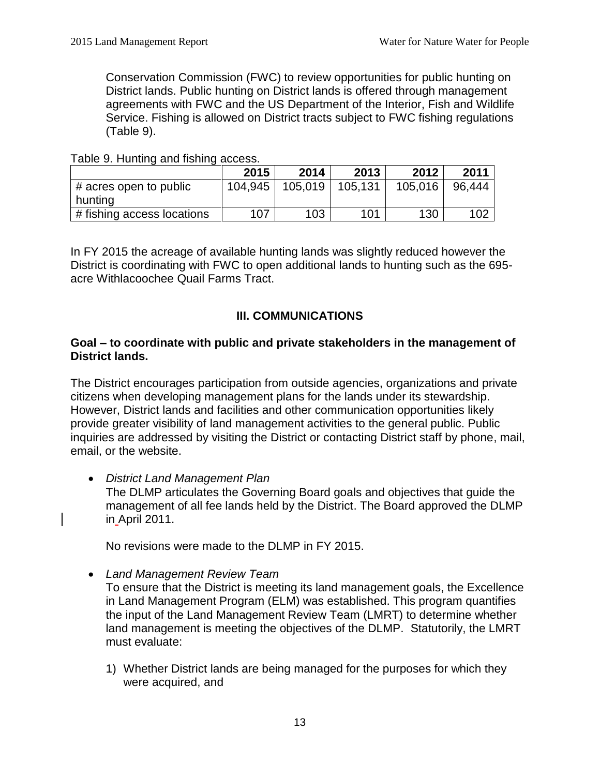Conservation Commission (FWC) to review opportunities for public hunting on District lands. Public hunting on District lands is offered through management agreements with FWC and the US Department of the Interior, Fish and Wildlife Service. Fishing is allowed on District tracts subject to FWC fishing regulations (Table 9).

|  | Table 9. Hunting and fishing access. |  |
|--|--------------------------------------|--|
|  |                                      |  |

|                            | 2015    | 2014    | 2013    | 2012    | 2011   |
|----------------------------|---------|---------|---------|---------|--------|
| # acres open to public     | 104,945 | 105,019 | 105,131 | 105,016 | 96,444 |
| hunting                    |         |         |         |         |        |
| # fishing access locations | 107     | 103     | 101     | 130     | 102    |

<span id="page-15-0"></span>In FY 2015 the acreage of available hunting lands was slightly reduced however the District is coordinating with FWC to open additional lands to hunting such as the 695 acre Withlacoochee Quail Farms Tract.

## **III. COMMUNICATIONS**

#### **Goal – to coordinate with public and private stakeholders in the management of District lands.**

The District encourages participation from outside agencies, organizations and private citizens when developing management plans for the lands under its stewardship. However, District lands and facilities and other communication opportunities likely provide greater visibility of land management activities to the general public. Public inquiries are addressed by visiting the District or contacting District staff by phone, mail, email, or the website.

 *District Land Management Plan* The DLMP articulates the Governing Board goals and objectives that guide the management of all fee lands held by the District. The Board approved the DLMP in April 2011.

No revisions were made to the DLMP in FY 2015.

*Land Management Review Team*

To ensure that the District is meeting its land management goals, the Excellence in Land Management Program (ELM) was established. This program quantifies the input of the Land Management Review Team (LMRT) to determine whether land management is meeting the objectives of the DLMP. Statutorily, the LMRT must evaluate:

1) Whether District lands are being managed for the purposes for which they were acquired, and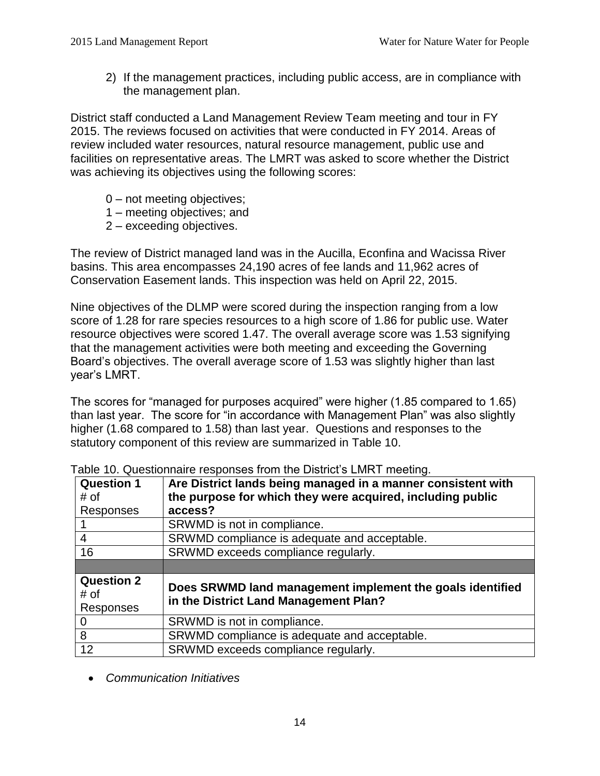2) If the management practices, including public access, are in compliance with the management plan.

District staff conducted a Land Management Review Team meeting and tour in FY 2015. The reviews focused on activities that were conducted in FY 2014. Areas of review included water resources, natural resource management, public use and facilities on representative areas. The LMRT was asked to score whether the District was achieving its objectives using the following scores:

- 0 not meeting objectives;
- 1 meeting objectives; and
- 2 exceeding objectives.

The review of District managed land was in the Aucilla, Econfina and Wacissa River basins. This area encompasses 24,190 acres of fee lands and 11,962 acres of Conservation Easement lands. This inspection was held on April 22, 2015.

Nine objectives of the DLMP were scored during the inspection ranging from a low score of 1.28 for rare species resources to a high score of 1.86 for public use. Water resource objectives were scored 1.47. The overall average score was 1.53 signifying that the management activities were both meeting and exceeding the Governing Board's objectives. The overall average score of 1.53 was slightly higher than last year's LMRT.

The scores for "managed for purposes acquired" were higher (1.85 compared to 1.65) than last year. The score for "in accordance with Management Plan" was also slightly higher (1.68 compared to 1.58) than last year. Questions and responses to the statutory component of this review are summarized in Table 10.

| <b>Question 1</b><br># of<br>Responses        | Are District lands being managed in a manner consistent with<br>the purpose for which they were acquired, including public<br>access? |
|-----------------------------------------------|---------------------------------------------------------------------------------------------------------------------------------------|
|                                               | SRWMD is not in compliance.                                                                                                           |
| 4                                             | SRWMD compliance is adequate and acceptable.                                                                                          |
| 16                                            | SRWMD exceeds compliance regularly.                                                                                                   |
|                                               |                                                                                                                                       |
| <b>Question 2</b><br># of<br><b>Responses</b> | Does SRWMD land management implement the goals identified<br>in the District Land Management Plan?                                    |
| 0                                             | SRWMD is not in compliance.                                                                                                           |
| 8                                             | SRWMD compliance is adequate and acceptable.                                                                                          |
| 12                                            | SRWMD exceeds compliance regularly.                                                                                                   |

Table 10. Questionnaire responses from the District's LMRT meeting.

*Communication Initiatives*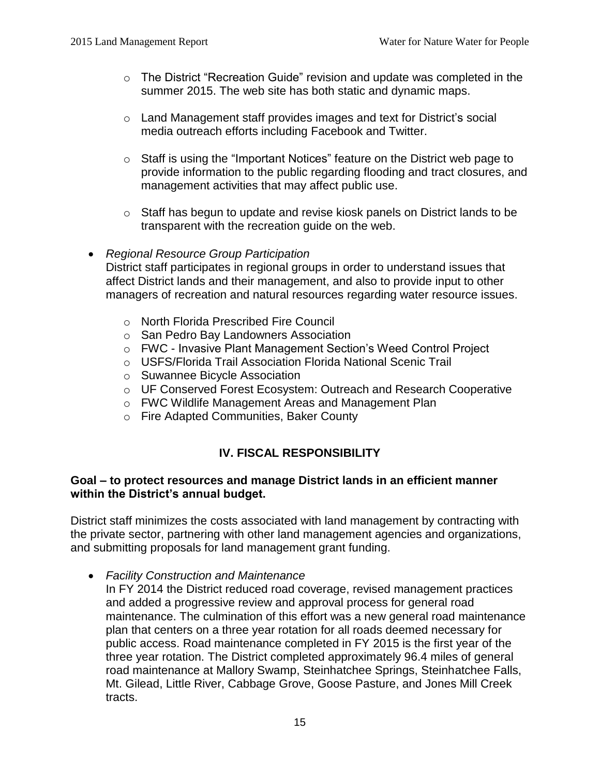- o The District "Recreation Guide" revision and update was completed in the summer 2015. The web site has both static and dynamic maps.
- o Land Management staff provides images and text for District's social media outreach efforts including Facebook and Twitter.
- o Staff is using the "Important Notices" feature on the District web page to provide information to the public regarding flooding and tract closures, and management activities that may affect public use.
- o Staff has begun to update and revise kiosk panels on District lands to be transparent with the recreation guide on the web.

 *Regional Resource Group Participation* District staff participates in regional groups in order to understand issues that affect District lands and their management, and also to provide input to other managers of recreation and natural resources regarding water resource issues.

- o North Florida Prescribed Fire Council
- o San Pedro Bay Landowners Association
- o FWC Invasive Plant Management Section's Weed Control Project
- o USFS/Florida Trail Association Florida National Scenic Trail
- o Suwannee Bicycle Association
- o UF Conserved Forest Ecosystem: Outreach and Research Cooperative
- o FWC Wildlife Management Areas and Management Plan
- o Fire Adapted Communities, Baker County

## **IV. FISCAL RESPONSIBILITY**

#### <span id="page-17-0"></span>**Goal – to protect resources and manage District lands in an efficient manner within the District's annual budget.**

District staff minimizes the costs associated with land management by contracting with the private sector, partnering with other land management agencies and organizations, and submitting proposals for land management grant funding.

*Facility Construction and Maintenance* 

In FY 2014 the District reduced road coverage, revised management practices and added a progressive review and approval process for general road maintenance. The culmination of this effort was a new general road maintenance plan that centers on a three year rotation for all roads deemed necessary for public access. Road maintenance completed in FY 2015 is the first year of the three year rotation. The District completed approximately 96.4 miles of general road maintenance at Mallory Swamp, Steinhatchee Springs, Steinhatchee Falls, Mt. Gilead, Little River, Cabbage Grove, Goose Pasture, and Jones Mill Creek tracts.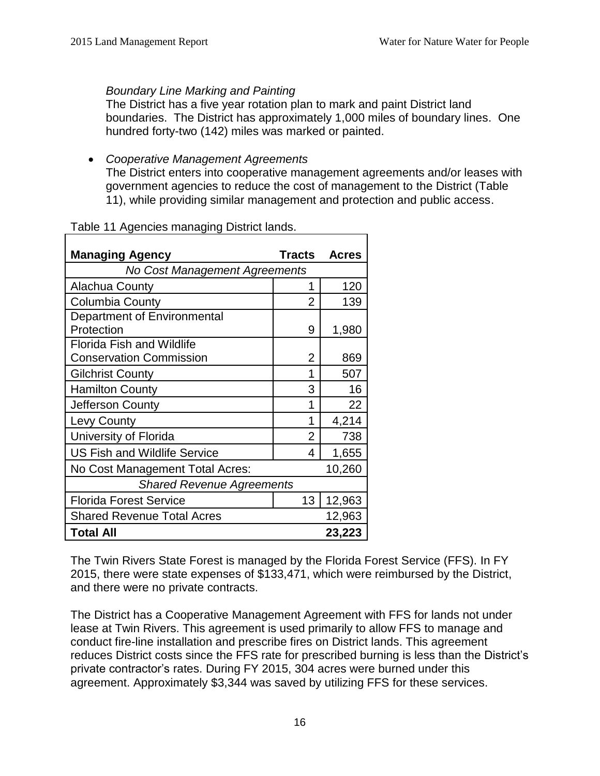#### *Boundary Line Marking and Painting*

The District has a five year rotation plan to mark and paint District land boundaries. The District has approximately 1,000 miles of boundary lines. One hundred forty-two (142) miles was marked or painted.

#### *Cooperative Management Agreements*

The District enters into cooperative management agreements and/or leases with government agencies to reduce the cost of management to the District (Table 11), while providing similar management and protection and public access.

|  | Table 11 Agencies managing District lands. |  |
|--|--------------------------------------------|--|
|  |                                            |  |

| <b>Managing Agency</b>                                             | Tracts         | <b>Acres</b> |  |  |  |
|--------------------------------------------------------------------|----------------|--------------|--|--|--|
| <b>No Cost Management Agreements</b>                               |                |              |  |  |  |
| Alachua County                                                     |                | 120          |  |  |  |
| <b>Columbia County</b>                                             | $\overline{2}$ | 139          |  |  |  |
| Department of Environmental                                        |                |              |  |  |  |
| Protection                                                         | 9              | 1,980        |  |  |  |
| <b>Florida Fish and Wildlife</b><br><b>Conservation Commission</b> | 2              | 869          |  |  |  |
| <b>Gilchrist County</b>                                            | 1              | 507          |  |  |  |
| <b>Hamilton County</b>                                             | 3              | 16           |  |  |  |
| Jefferson County                                                   | 1              | 22           |  |  |  |
| Levy County                                                        | 1              | 4,214        |  |  |  |
| University of Florida                                              | $\overline{2}$ | 738          |  |  |  |
| <b>US Fish and Wildlife Service</b>                                | 4              | 1,655        |  |  |  |
| No Cost Management Total Acres:                                    |                | 10,260       |  |  |  |
| <b>Shared Revenue Agreements</b>                                   |                |              |  |  |  |
| <b>Florida Forest Service</b>                                      | 13             | 12,963       |  |  |  |
| <b>Shared Revenue Total Acres</b>                                  |                | 12,963       |  |  |  |
| <b>Total All</b>                                                   |                | 23,223       |  |  |  |

The Twin Rivers State Forest is managed by the Florida Forest Service (FFS). In FY 2015, there were state expenses of \$133,471, which were reimbursed by the District, and there were no private contracts.

The District has a Cooperative Management Agreement with FFS for lands not under lease at Twin Rivers. This agreement is used primarily to allow FFS to manage and conduct fire-line installation and prescribe fires on District lands. This agreement reduces District costs since the FFS rate for prescribed burning is less than the District's private contractor's rates. During FY 2015, 304 acres were burned under this agreement. Approximately \$3,344 was saved by utilizing FFS for these services.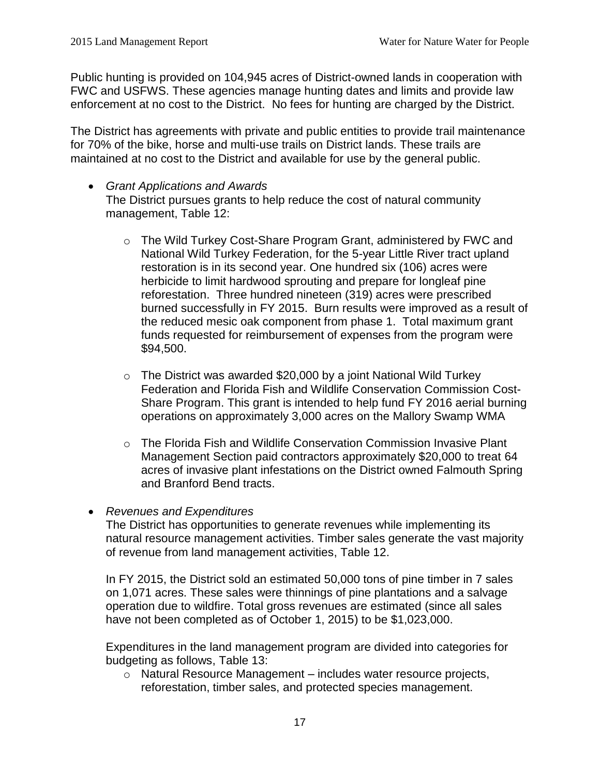Public hunting is provided on 104,945 acres of District-owned lands in cooperation with FWC and USFWS. These agencies manage hunting dates and limits and provide law enforcement at no cost to the District. No fees for hunting are charged by the District.

The District has agreements with private and public entities to provide trail maintenance for 70% of the bike, horse and multi-use trails on District lands. These trails are maintained at no cost to the District and available for use by the general public.

*Grant Applications and Awards*

The District pursues grants to help reduce the cost of natural community management, Table 12:

- o The Wild Turkey Cost-Share Program Grant, administered by FWC and National Wild Turkey Federation, for the 5-year Little River tract upland restoration is in its second year. One hundred six (106) acres were herbicide to limit hardwood sprouting and prepare for longleaf pine reforestation. Three hundred nineteen (319) acres were prescribed burned successfully in FY 2015. Burn results were improved as a result of the reduced mesic oak component from phase 1. Total maximum grant funds requested for reimbursement of expenses from the program were \$94,500.
- $\circ$  The District was awarded \$20,000 by a joint National Wild Turkey Federation and Florida Fish and Wildlife Conservation Commission Cost-Share Program. This grant is intended to help fund FY 2016 aerial burning operations on approximately 3,000 acres on the Mallory Swamp WMA
- $\circ$  The Florida Fish and Wildlife Conservation Commission Invasive Plant Management Section paid contractors approximately \$20,000 to treat 64 acres of invasive plant infestations on the District owned Falmouth Spring and Branford Bend tracts.
- *Revenues and Expenditures*

The District has opportunities to generate revenues while implementing its natural resource management activities. Timber sales generate the vast majority of revenue from land management activities, Table 12.

In FY 2015, the District sold an estimated 50,000 tons of pine timber in 7 sales on 1,071 acres. These sales were thinnings of pine plantations and a salvage operation due to wildfire. Total gross revenues are estimated (since all sales have not been completed as of October 1, 2015) to be \$1,023,000.

Expenditures in the land management program are divided into categories for budgeting as follows, Table 13:

o Natural Resource Management – includes water resource projects, reforestation, timber sales, and protected species management.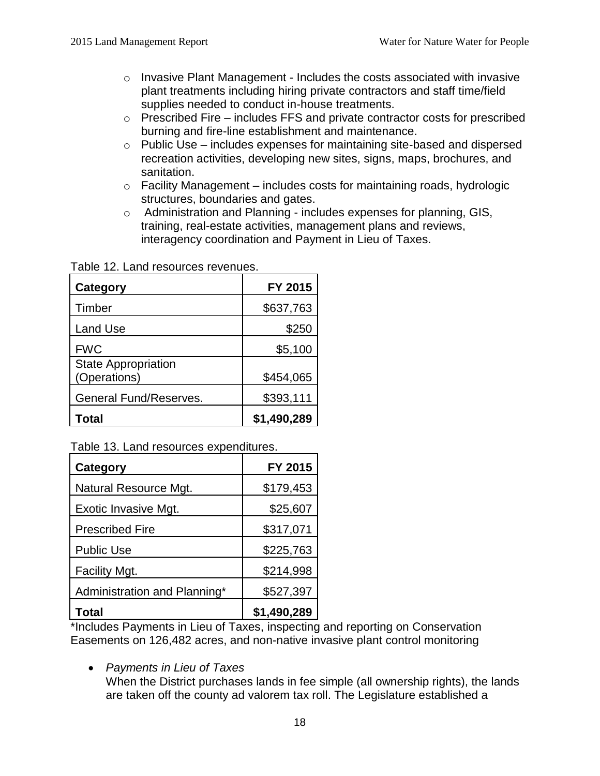- $\circ$  Invasive Plant Management Includes the costs associated with invasive plant treatments including hiring private contractors and staff time/field supplies needed to conduct in-house treatments.
- $\circ$  Prescribed Fire includes FFS and private contractor costs for prescribed burning and fire-line establishment and maintenance.
- o Public Use includes expenses for maintaining site-based and dispersed recreation activities, developing new sites, signs, maps, brochures, and sanitation.
- $\circ$  Facility Management includes costs for maintaining roads, hydrologic structures, boundaries and gates.
- o Administration and Planning includes expenses for planning, GIS, training, real-estate activities, management plans and reviews, interagency coordination and Payment in Lieu of Taxes.

Table 12. Land resources revenues.

| <b>Category</b>                            | FY 2015     |
|--------------------------------------------|-------------|
| Timber                                     | \$637,763   |
| <b>Land Use</b>                            | \$250       |
| <b>FWC</b>                                 | \$5,100     |
| <b>State Appropriation</b><br>(Operations) | \$454,065   |
| <b>General Fund/Reserves.</b>              | \$393,111   |
| Total                                      | \$1,490,289 |

Table 13. Land resources expenditures.

| Category                     | FY 2015     |  |
|------------------------------|-------------|--|
| Natural Resource Mgt.        | \$179,453   |  |
| Exotic Invasive Mgt.         | \$25,607    |  |
| <b>Prescribed Fire</b>       | \$317,071   |  |
| <b>Public Use</b>            | \$225,763   |  |
| Facility Mgt.                | \$214,998   |  |
| Administration and Planning* | \$527,397   |  |
| Total                        | \$1,490,289 |  |

\*Includes Payments in Lieu of Taxes, inspecting and reporting on Conservation Easements on 126,482 acres, and non-native invasive plant control monitoring

*Payments in Lieu of Taxes* 

When the District purchases lands in fee simple (all ownership rights), the lands are taken off the county ad valorem tax roll. The Legislature established a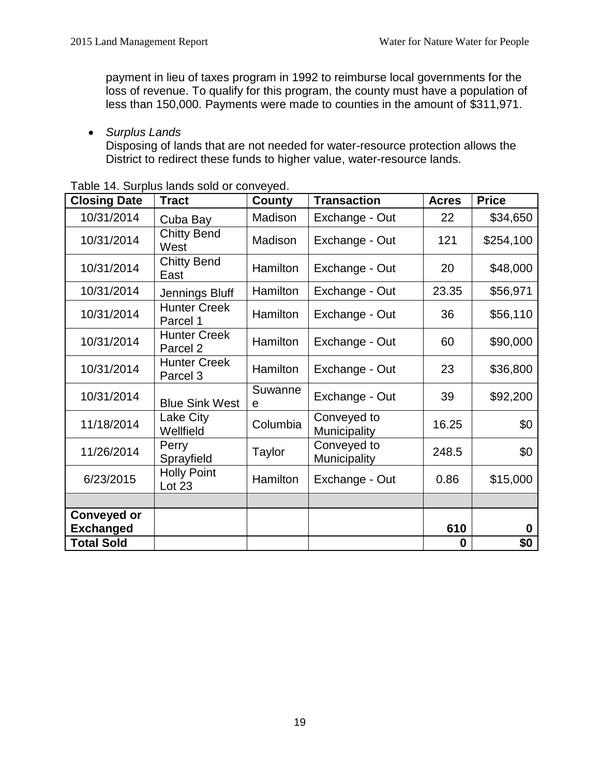payment in lieu of taxes program in 1992 to reimburse local governments for the loss of revenue. To qualify for this program, the county must have a population of less than 150,000. Payments were made to counties in the amount of \$311,971.

*Surplus Lands*

Disposing of lands that are not needed for water-resource protection allows the District to redirect these funds to higher value, water-resource lands.

| <b>Closing Date</b>                    | rapio + 1. Carpiao iariao cola or convoyoa.<br><b>Tract</b> | <b>County</b> | <b>Transaction</b>          | <b>Acres</b> | <b>Price</b> |
|----------------------------------------|-------------------------------------------------------------|---------------|-----------------------------|--------------|--------------|
| 10/31/2014                             | Cuba Bay                                                    | Madison       | Exchange - Out              | 22           | \$34,650     |
| 10/31/2014                             | <b>Chitty Bend</b><br>West                                  | Madison       | Exchange - Out              | 121          | \$254,100    |
| 10/31/2014                             | <b>Chitty Bend</b><br>East                                  | Hamilton      | Exchange - Out              | 20           | \$48,000     |
| 10/31/2014                             | Jennings Bluff                                              | Hamilton      | Exchange - Out              | 23.35        | \$56,971     |
| 10/31/2014                             | <b>Hunter Creek</b><br>Parcel 1                             | Hamilton      | Exchange - Out              | 36           | \$56,110     |
| 10/31/2014                             | <b>Hunter Creek</b><br>Parcel 2                             | Hamilton      | Exchange - Out              | 60           | \$90,000     |
| 10/31/2014                             | <b>Hunter Creek</b><br>Parcel 3                             | Hamilton      | Exchange - Out              | 23           | \$36,800     |
| 10/31/2014                             | <b>Blue Sink West</b>                                       | Suwanne<br>e  | Exchange - Out              | 39           | \$92,200     |
| 11/18/2014                             | Lake City<br>Wellfield                                      | Columbia      | Conveyed to<br>Municipality | 16.25        | \$0          |
| 11/26/2014                             | Perry<br>Sprayfield                                         | Taylor        | Conveyed to<br>Municipality | 248.5        | \$0          |
| 6/23/2015                              | <b>Holly Point</b><br>Lot 23                                | Hamilton      | Exchange - Out              | 0.86         | \$15,000     |
|                                        |                                                             |               |                             |              |              |
| <b>Conveyed or</b><br><b>Exchanged</b> |                                                             |               |                             | 610          | 0            |
| <b>Total Sold</b>                      |                                                             |               |                             | 0            | \$0          |

Table 14. Surplus lands sold or conveyed.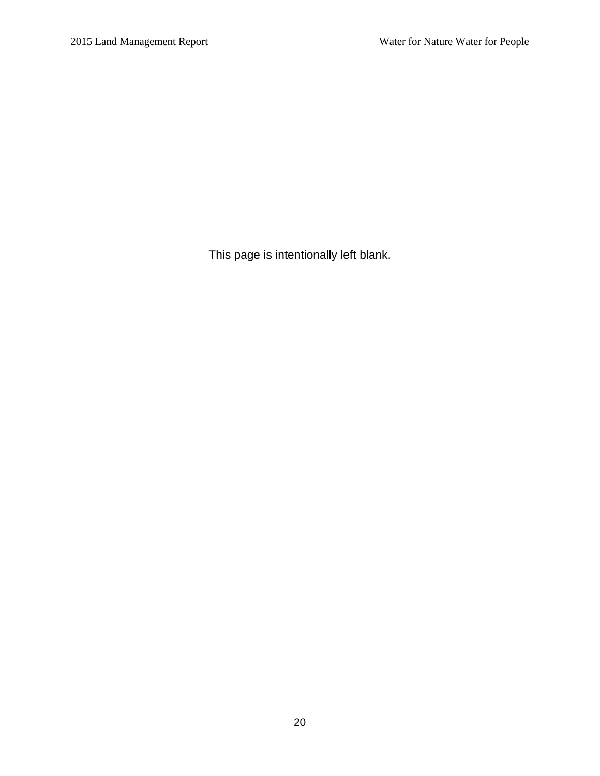This page is intentionally left blank.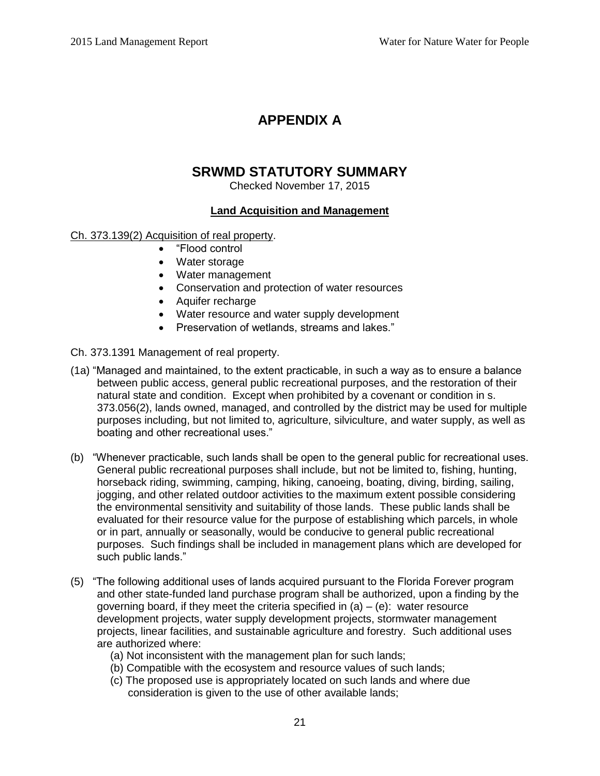# **APPENDIX A**

# **SRWMD STATUTORY SUMMARY**

Checked November 17, 2015

#### **Land Acquisition and Management**

<span id="page-23-1"></span><span id="page-23-0"></span>Ch. 373.139(2) Acquisition of real property.

- "Flood control
- Water storage
- Water management
- Conservation and protection of water resources
- Aquifer recharge
- Water resource and water supply development
- Preservation of wetlands, streams and lakes."
- Ch. 373.1391 Management of real property.
- (1a) "Managed and maintained, to the extent practicable, in such a way as to ensure a balance between public access, general public recreational purposes, and the restoration of their natural state and condition. Except when prohibited by a covenant or condition in s. 373.056(2), lands owned, managed, and controlled by the district may be used for multiple purposes including, but not limited to, agriculture, silviculture, and water supply, as well as boating and other recreational uses."
- (b) "Whenever practicable, such lands shall be open to the general public for recreational uses. General public recreational purposes shall include, but not be limited to, fishing, hunting, horseback riding, swimming, camping, hiking, canoeing, boating, diving, birding, sailing, jogging, and other related outdoor activities to the maximum extent possible considering the environmental sensitivity and suitability of those lands. These public lands shall be evaluated for their resource value for the purpose of establishing which parcels, in whole or in part, annually or seasonally, would be conducive to general public recreational purposes. Such findings shall be included in management plans which are developed for such public lands."
- (5) "The following additional uses of lands acquired pursuant to the Florida Forever program and other state-funded land purchase program shall be authorized, upon a finding by the governing board, if they meet the criteria specified in  $(a) - (e)$ : water resource development projects, water supply development projects, stormwater management projects, linear facilities, and sustainable agriculture and forestry. Such additional uses are authorized where:
	- (a) Not inconsistent with the management plan for such lands;
	- (b) Compatible with the ecosystem and resource values of such lands;
	- (c) The proposed use is appropriately located on such lands and where due consideration is given to the use of other available lands;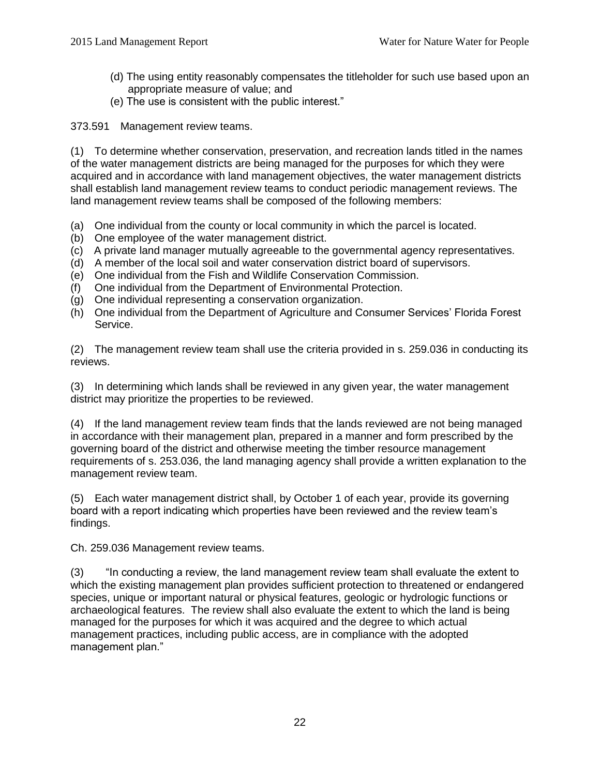- (d) The using entity reasonably compensates the titleholder for such use based upon an appropriate measure of value; and
- (e) The use is consistent with the public interest."

373.591 Management review teams.

(1) To determine whether conservation, preservation, and recreation lands titled in the names of the water management districts are being managed for the purposes for which they were acquired and in accordance with land management objectives, the water management districts shall establish land management review teams to conduct periodic management reviews. The land management review teams shall be composed of the following members:

- (a) One individual from the county or local community in which the parcel is located.
- (b) One employee of the water management district.
- (c) A private land manager mutually agreeable to the governmental agency representatives.
- (d) A member of the local soil and water conservation district board of supervisors.
- (e) One individual from the Fish and Wildlife Conservation Commission.
- (f) One individual from the Department of Environmental Protection.
- (g) One individual representing a conservation organization.
- (h) One individual from the Department of Agriculture and Consumer Services' Florida Forest Service.

(2) The management review team shall use the criteria provided in s. 259.036 in conducting its reviews.

(3) In determining which lands shall be reviewed in any given year, the water management district may prioritize the properties to be reviewed.

(4) If the land management review team finds that the lands reviewed are not being managed in accordance with their management plan, prepared in a manner and form prescribed by the governing board of the district and otherwise meeting the timber resource management requirements of s. 253.036, the land managing agency shall provide a written explanation to the management review team.

(5) Each water management district shall, by October 1 of each year, provide its governing board with a report indicating which properties have been reviewed and the review team's findings.

Ch. 259.036 Management review teams.

(3) "In conducting a review, the land management review team shall evaluate the extent to which the existing management plan provides sufficient protection to threatened or endangered species, unique or important natural or physical features, geologic or hydrologic functions or archaeological features. The review shall also evaluate the extent to which the land is being managed for the purposes for which it was acquired and the degree to which actual management practices, including public access, are in compliance with the adopted management plan."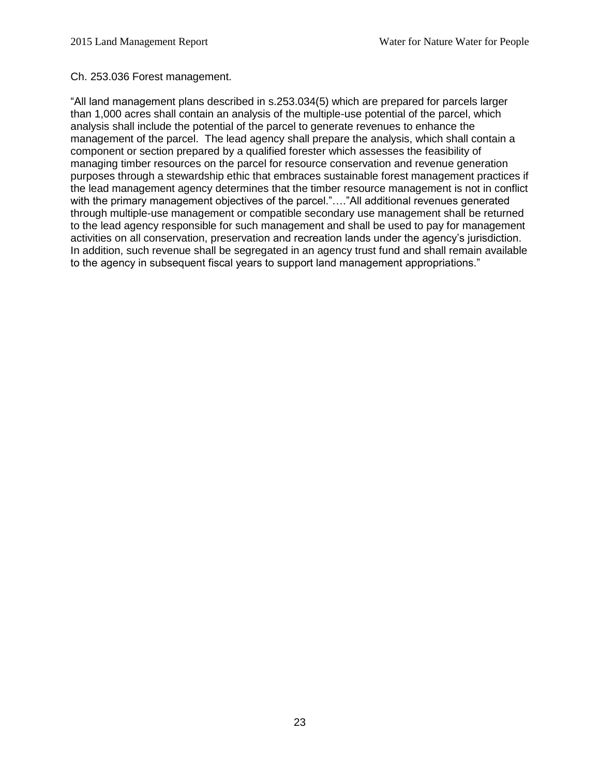#### Ch. 253.036 Forest management.

"All land management plans described in s.253.034(5) which are prepared for parcels larger than 1,000 acres shall contain an analysis of the multiple-use potential of the parcel, which analysis shall include the potential of the parcel to generate revenues to enhance the management of the parcel. The lead agency shall prepare the analysis, which shall contain a component or section prepared by a qualified forester which assesses the feasibility of managing timber resources on the parcel for resource conservation and revenue generation purposes through a stewardship ethic that embraces sustainable forest management practices if the lead management agency determines that the timber resource management is not in conflict with the primary management objectives of the parcel."…."All additional revenues generated through multiple-use management or compatible secondary use management shall be returned to the lead agency responsible for such management and shall be used to pay for management activities on all conservation, preservation and recreation lands under the agency's jurisdiction. In addition, such revenue shall be segregated in an agency trust fund and shall remain available to the agency in subsequent fiscal years to support land management appropriations."